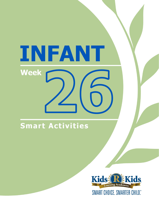# INFANT Week

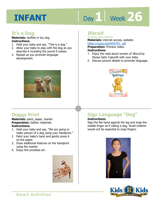# Day 1 Week 26

# **It's a Dog**

**Materials:** stuffed or toy dog **Instructions:** 

- 1. Hold your baby and say, "This is a dog."
- 2. Allow your baby to play with the dog as you describe it including the sound it makes.
- 3. Repeat as you promote language development.



# **Doggy Print**

**Materials:** paint, paper, marker **Preparation:** Gather materials. **Instructions:** 

- 1. Hold your baby and say, "We are going to make picture of a dog using your handprint."
- 2. Paint your baby's hand and gently press it on the paper.
- 3. Draw additional features on the handprint using the marker.
- 4. Enjoy this priceless art.



# **Biscuit**

**by Alyssa Satin Capucilli Materials:** internet access, website:

https://youtu.be/hPHt7SY\_-q8<br>**Preparation:** Preview video.<br>**Instructions:**<br>4. Fries: the read aloud version of *Ries*: **Preparation:** Preview video. **Instructions:** 

- 1. Enjoy the read aloud version of Biscuit by Alyssa Satin Capucilli with your baby.
- 2. Discuss picture details to promote language.



# **Sign Language "Dog"**

### **Instructions:**

Slap the flat hand against the leg and snap the middle finger as if calling a dog. Small children would not be expected to snap fingers.



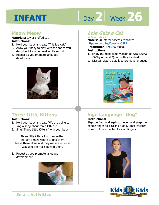# Day 2 | Week 26

## **Meow Meow**

**Materials:** toy or stuffed cat **Instructions:** 

- 1. Hold your baby and say, "This is a cat."
- 2. Allow your baby to play with the cat as you describe it including making its sound.
- 3. Repeat as you promote language development.



# **Three Little Kittens**

#### **Instructions:**

- 1. Hold your baby and say, "We are going to sing a song about three kittens."
- 2. Sing "Three Little Kittens" with your baby.

Three little kittens lost their mitten And don't know where to find them. Leave them alone and they will come home Wagging their tails behind them.

3. Repeat as you promote language development.



# **Lola Gets a Cat**

**by Anna McQuinn Materials:** internet access, website:

**https://youtu.be/FonWx4tO8P4<br><b>Preparation:** Preview video.<br>**Instructions:**<br>4. Faisy the yead aloud varsion of / c/a **Preparation:** Preview video. **Instructions:** 

- 1. Enjoy the read aloud version of Lola Gets a Cat by Anna McQuinn with your child.
- 2. Discuss picture details to promote language.



# **Sign Language "Dog"**

#### **Instructions:**

Slap the flat hand against the leg and snap the middle finger as if calling a dog. Small children would not be expected to snap fingers.



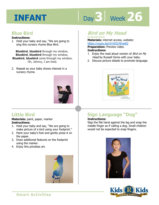# Day 3 | Week 26

# **Blue Bird**

#### **Instructions:**

1. Hold your baby and say, "We are going to sing this nursery rhyme Blue Bird.

**Bluebird**, **bluebird** through my window, **Bluebird**, **bluebird** through my window, **Bluebird**, **bluebird** come through my window, Oh, Johnny, I am tired.

2. Repeat as your baby shows interest in a nursery rhyme.



# **Little Bird**

#### **Materials:** paint, paper, marker **Instructions:**

- 1. Hold your baby and say, "We are going to make picture of a bird using your footprint."
- 2. Paint your baby's foot and gently press it on the paper.
- 3. Draw additional features on the footprint using the marker.
- 4. Enjoy this priceless art.



# **Bird on My Head**

**by Russell Ginns Materials:** internet access, website: https://youtu.be/VrrWZLMme6Q

**Preparation:** Preview video. **Instructions:** 

- 1. Enjoy the read aloud version of Bird on My Head by Russell Ginns with your baby.
- 2. Discuss picture details to promote language.



# **Sign Language "Dog"**

### **Instructions:**

Slap the flat hand against the leg and snap the middle finger as if calling a dog. Small children would not be expected to snap fingers.



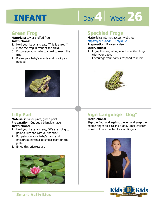# Day 4 Week 26

## **Green Frog**

#### **Materials:** toy or stuffed frog **Instructions:**

- 1. Hold your baby and say, "This is a frog."
- 2. Place the frog in front of the child.
- 3. Encourage your baby to crawl to reach the frog.
- 4. Praise your baby's efforts and modify as needed.



# **Speckled Frogs**

**Materials:** internet access, website: https://youtu.be/kEJP1myKkUc

**Preparation:** Preview video.

#### **Instructions:**

- **IRCDS.//YOULLI.DE/KEJF INTYKKOC**<br>**Preparation:** Preview video.<br>1. Enjoy this sing along about speckled frogs with your baby.
- 2. Encourage your baby's respond to music.



# **Lilly Pad**

**Materials:** paper plate, green paint **Preparation:** Cut out a triangle shape. **Instructions:** 

- 1. Hold your baby and say, "We are going to paint a Lilly pad with our hands."
- 2. Put paint on your baby's hand and encourage him/her to smear paint on the plate.
- 3. Enjoy this priceless art.



# **Sign Language "Dog"**

## **Instructions:**

Slap the flat hand against the leg and snap the middle finger as if calling a dog. Small children would not be expected to snap fingers.